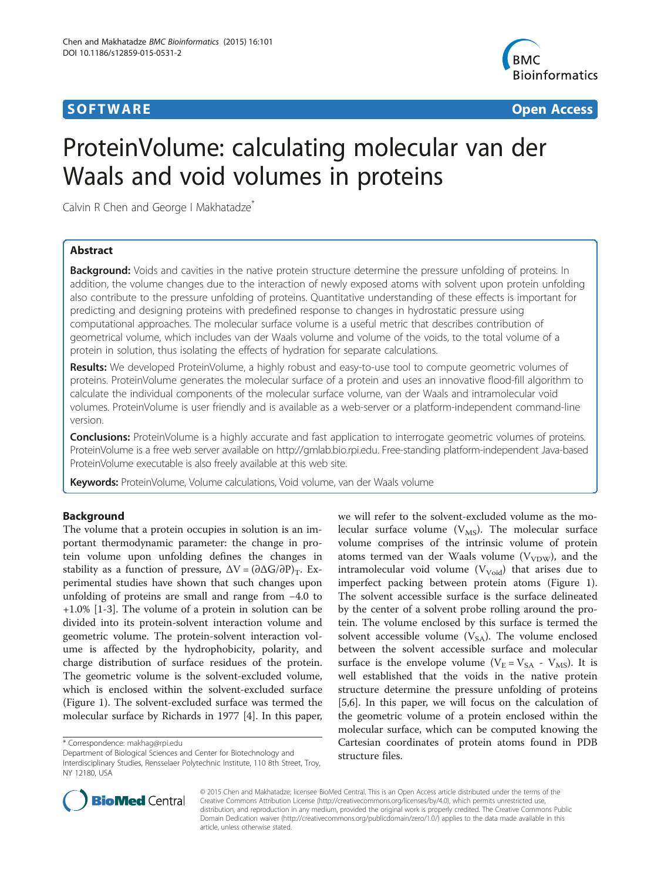# **SOFTWARE SOFTWARE** *CONSERVERSE EXECUTIVE EXECUTIVE EXECUTIVE EXECUTIVE EXECUTIVE EXECUTIVE EXECUTIVE EXECUTIVE EXECUTIVE EXECUTIVE EXECUTIVE EXECUTIVE EXECUTIVE EXECUTIVE EXECUTIVE EXECUTIVE EXECUTIVE EXECUTIVE EXECUT*



# ProteinVolume: calculating molecular van der Waals and void volumes in proteins

Calvin R Chen and George I Makhatadze<sup>\*</sup>

# Abstract

Background: Voids and cavities in the native protein structure determine the pressure unfolding of proteins. In addition, the volume changes due to the interaction of newly exposed atoms with solvent upon protein unfolding also contribute to the pressure unfolding of proteins. Quantitative understanding of these effects is important for predicting and designing proteins with predefined response to changes in hydrostatic pressure using computational approaches. The molecular surface volume is a useful metric that describes contribution of geometrical volume, which includes van der Waals volume and volume of the voids, to the total volume of a protein in solution, thus isolating the effects of hydration for separate calculations.

Results: We developed ProteinVolume, a highly robust and easy-to-use tool to compute geometric volumes of proteins. ProteinVolume generates the molecular surface of a protein and uses an innovative flood-fill algorithm to calculate the individual components of the molecular surface volume, van der Waals and intramolecular void volumes. ProteinVolume is user friendly and is available as a web-server or a platform-independent command-line version.

**Conclusions:** ProteinVolume is a highly accurate and fast application to interrogate geometric volumes of proteins. ProteinVolume is a free web server available on<http://gmlab.bio.rpi.edu>. Free-standing platform-independent Java-based ProteinVolume executable is also freely available at this web site.

Keywords: ProteinVolume, Volume calculations, Void volume, van der Waals volume

# Background

The volume that a protein occupies in solution is an important thermodynamic parameter: the change in protein volume upon unfolding defines the changes in stability as a function of pressure,  $\Delta V = (\partial \Delta G / \partial P)_T$ . Experimental studies have shown that such changes upon unfolding of proteins are small and range from −4.0 to +1.0% [[1-3](#page-5-0)]. The volume of a protein in solution can be divided into its protein-solvent interaction volume and geometric volume. The protein-solvent interaction volume is affected by the hydrophobicity, polarity, and charge distribution of surface residues of the protein. The geometric volume is the solvent-excluded volume, which is enclosed within the solvent-excluded surface (Figure [1\)](#page-1-0). The solvent-excluded surface was termed the molecular surface by Richards in 1977 [\[4](#page-5-0)]. In this paper,

we will refer to the solvent-excluded volume as the molecular surface volume  $(V_{MS})$ . The molecular surface volume comprises of the intrinsic volume of protein atoms termed van der Waals volume  $(V_{VDW})$ , and the intramolecular void volume  $(V_{\text{void}})$  that arises due to imperfect packing between protein atoms (Figure [1](#page-1-0)). The solvent accessible surface is the surface delineated by the center of a solvent probe rolling around the protein. The volume enclosed by this surface is termed the solvent accessible volume  $(V_{SA})$ . The volume enclosed between the solvent accessible surface and molecular surface is the envelope volume ( $V_E = V_{SA} - V_{MS}$ ). It is well established that the voids in the native protein structure determine the pressure unfolding of proteins [[5,6\]](#page-5-0). In this paper, we will focus on the calculation of the geometric volume of a protein enclosed within the molecular surface, which can be computed knowing the Cartesian coordinates of protein atoms found in PDB structure files.



© 2015 Chen and Makhatadze; licensee BioMed Central. This is an Open Access article distributed under the terms of the Creative Commons Attribution License (<http://creativecommons.org/licenses/by/4.0>), which permits unrestricted use, distribution, and reproduction in any medium, provided the original work is properly credited. The Creative Commons Public Domain Dedication waiver [\(http://creativecommons.org/publicdomain/zero/1.0/\)](http://creativecommons.org/publicdomain/zero/1.0/) applies to the data made available in this article, unless otherwise stated.

<sup>\*</sup> Correspondence: [makhag@rpi.edu](mailto:makhag@rpi.edu)

Department of Biological Sciences and Center for Biotechnology and Interdisciplinary Studies, Rensselaer Polytechnic Institute, 110 8th Street, Troy, NY 12180, USA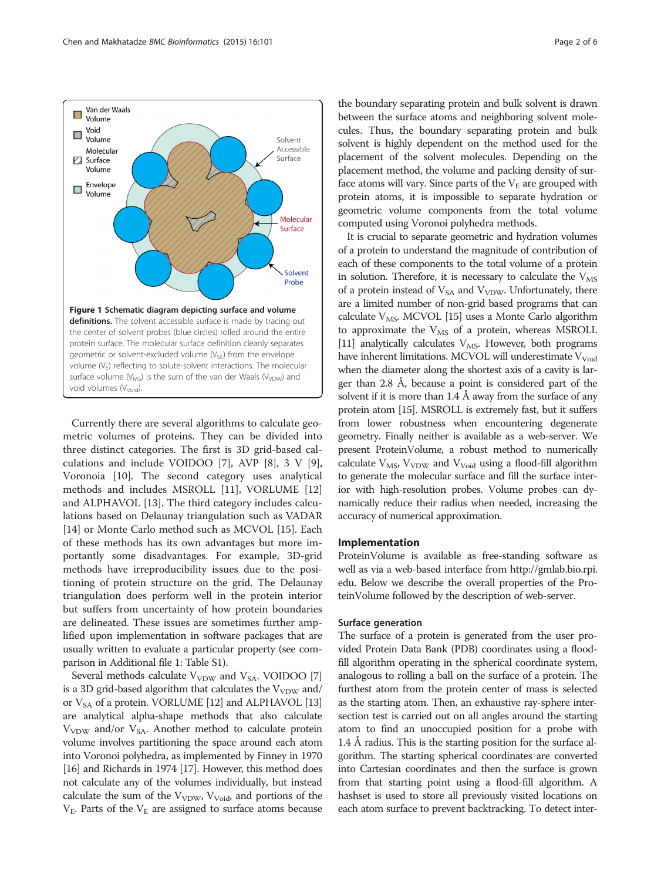<span id="page-1-0"></span>

Currently there are several algorithms to calculate geometric volumes of proteins. They can be divided into three distinct categories. The first is 3D grid-based calculations and include VOIDOO [[7\]](#page-5-0), AVP [\[8](#page-5-0)], 3 V [\[9](#page-5-0)], Voronoia [\[10\]](#page-5-0). The second category uses analytical methods and includes MSROLL [\[11](#page-5-0)], VORLUME [[12](#page-5-0)] and ALPHAVOL [[13](#page-5-0)]. The third category includes calculations based on Delaunay triangulation such as VADAR [[14\]](#page-5-0) or Monte Carlo method such as MCVOL [[15](#page-5-0)]. Each of these methods has its own advantages but more importantly some disadvantages. For example, 3D-grid methods have irreproducibility issues due to the positioning of protein structure on the grid. The Delaunay triangulation does perform well in the protein interior but suffers from uncertainty of how protein boundaries are delineated. These issues are sometimes further amplified upon implementation in software packages that are usually written to evaluate a particular property (see comparison in Additional file [1](#page-5-0): Table S1).

Several methods calculate  $V_{VDW}$  and  $V_{SA}$ . VOIDOO [[7](#page-5-0)] is a 3D grid-based algorithm that calculates the  $V_{VDW}$  and/ or  $V_{SA}$  of a protein. VORLUME [[12](#page-5-0)] and ALPHAVOL [\[13](#page-5-0)] are analytical alpha-shape methods that also calculate  $V_{VDW}$  and/or  $V_{SA}$ . Another method to calculate protein volume involves partitioning the space around each atom into Voronoi polyhedra, as implemented by Finney in 1970 [[16](#page-5-0)] and Richards in 1974 [\[17\]](#page-5-0). However, this method does not calculate any of the volumes individually, but instead calculate the sum of the  $V_{VDW}$ ,  $V_{Void}$ , and portions of the  $V<sub>E</sub>$ . Parts of the  $V<sub>E</sub>$  are assigned to surface atoms because the boundary separating protein and bulk solvent is drawn between the surface atoms and neighboring solvent molecules. Thus, the boundary separating protein and bulk solvent is highly dependent on the method used for the placement of the solvent molecules. Depending on the placement method, the volume and packing density of surface atoms will vary. Since parts of the  $V_E$  are grouped with protein atoms, it is impossible to separate hydration or geometric volume components from the total volume computed using Voronoi polyhedra methods.

It is crucial to separate geometric and hydration volumes of a protein to understand the magnitude of contribution of each of these components to the total volume of a protein in solution. Therefore, it is necessary to calculate the  $V_{MS}$ of a protein instead of  $V_{SA}$  and  $V_{VDW}$ . Unfortunately, there are a limited number of non-grid based programs that can calculate  $V_{MS}$ . MCVOL [\[15\]](#page-5-0) uses a Monte Carlo algorithm to approximate the  $V_{MS}$  of a protein, whereas MSROLL [[11](#page-5-0)] analytically calculates  $V_{MS}$ . However, both programs have inherent limitations. MCVOL will underestimate V<sub>Void</sub> when the diameter along the shortest axis of a cavity is larger than 2.8 Å, because a point is considered part of the solvent if it is more than 1.4 Å away from the surface of any protein atom [\[15](#page-5-0)]. MSROLL is extremely fast, but it suffers from lower robustness when encountering degenerate geometry. Finally neither is available as a web-server. We present ProteinVolume, a robust method to numerically calculate  $V_{MS}$ ,  $V_{VDW}$  and  $V_{Vold}$  using a flood-fill algorithm to generate the molecular surface and fill the surface interior with high-resolution probes. Volume probes can dynamically reduce their radius when needed, increasing the accuracy of numerical approximation.

#### Implementation

ProteinVolume is available as free-standing software as well as via a web-based interface from [http://gmlab.bio.rpi.](http://gmlab.bio.rpi.edu) [edu](http://gmlab.bio.rpi.edu). Below we describe the overall properties of the ProteinVolume followed by the description of web-server.

#### Surface generation

The surface of a protein is generated from the user provided Protein Data Bank (PDB) coordinates using a floodfill algorithm operating in the spherical coordinate system, analogous to rolling a ball on the surface of a protein. The furthest atom from the protein center of mass is selected as the starting atom. Then, an exhaustive ray-sphere intersection test is carried out on all angles around the starting atom to find an unoccupied position for a probe with 1.4 Å radius. This is the starting position for the surface algorithm. The starting spherical coordinates are converted into Cartesian coordinates and then the surface is grown from that starting point using a flood-fill algorithm. A hashset is used to store all previously visited locations on each atom surface to prevent backtracking. To detect inter-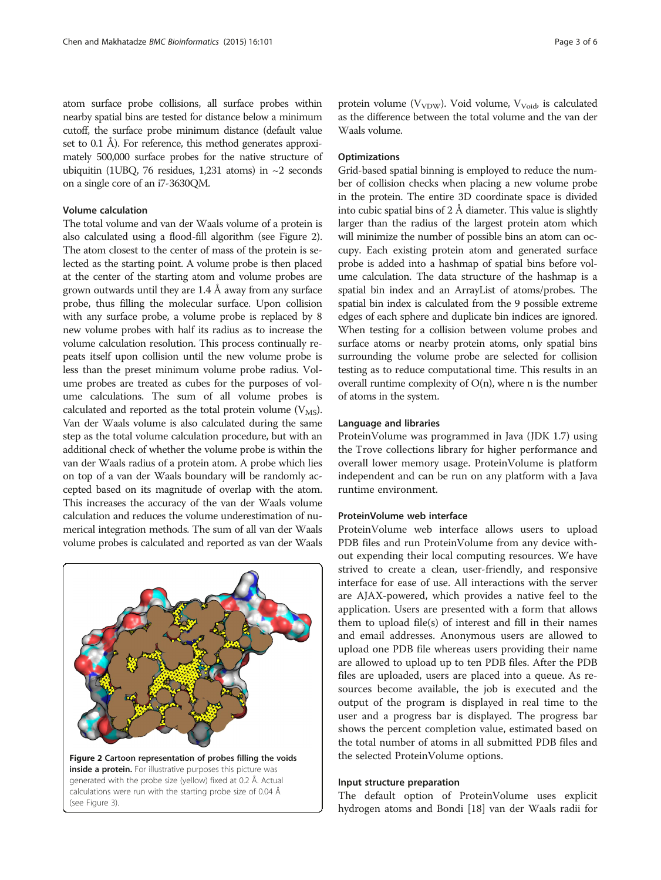atom surface probe collisions, all surface probes within nearby spatial bins are tested for distance below a minimum cutoff, the surface probe minimum distance (default value set to 0.1 Å). For reference, this method generates approximately 500,000 surface probes for the native structure of ubiquitin (1UBQ, 76 residues, 1,231 atoms) in  $\sim$ 2 seconds on a single core of an i7-3630QM.

#### Volume calculation

The total volume and van der Waals volume of a protein is also calculated using a flood-fill algorithm (see Figure 2). The atom closest to the center of mass of the protein is selected as the starting point. A volume probe is then placed at the center of the starting atom and volume probes are grown outwards until they are 1.4 Å away from any surface probe, thus filling the molecular surface. Upon collision with any surface probe, a volume probe is replaced by 8 new volume probes with half its radius as to increase the volume calculation resolution. This process continually repeats itself upon collision until the new volume probe is less than the preset minimum volume probe radius. Volume probes are treated as cubes for the purposes of volume calculations. The sum of all volume probes is calculated and reported as the total protein volume  $(V_{MS})$ . Van der Waals volume is also calculated during the same step as the total volume calculation procedure, but with an additional check of whether the volume probe is within the van der Waals radius of a protein atom. A probe which lies on top of a van der Waals boundary will be randomly accepted based on its magnitude of overlap with the atom. This increases the accuracy of the van der Waals volume calculation and reduces the volume underestimation of numerical integration methods. The sum of all van der Waals volume probes is calculated and reported as van der Waals



protein volume ( $V_{VDW}$ ). Void volume,  $V_{Void}$  is calculated as the difference between the total volume and the van der Waals volume.

#### **Optimizations**

Grid-based spatial binning is employed to reduce the number of collision checks when placing a new volume probe in the protein. The entire 3D coordinate space is divided into cubic spatial bins of 2 Å diameter. This value is slightly larger than the radius of the largest protein atom which will minimize the number of possible bins an atom can occupy. Each existing protein atom and generated surface probe is added into a hashmap of spatial bins before volume calculation. The data structure of the hashmap is a spatial bin index and an ArrayList of atoms/probes. The spatial bin index is calculated from the 9 possible extreme edges of each sphere and duplicate bin indices are ignored. When testing for a collision between volume probes and surface atoms or nearby protein atoms, only spatial bins surrounding the volume probe are selected for collision testing as to reduce computational time. This results in an overall runtime complexity of  $O(n)$ , where n is the number of atoms in the system.

## Language and libraries

ProteinVolume was programmed in Java (JDK 1.7) using the Trove collections library for higher performance and overall lower memory usage. ProteinVolume is platform independent and can be run on any platform with a Java runtime environment.

#### ProteinVolume web interface

ProteinVolume web interface allows users to upload PDB files and run ProteinVolume from any device without expending their local computing resources. We have strived to create a clean, user-friendly, and responsive interface for ease of use. All interactions with the server are AJAX-powered, which provides a native feel to the application. Users are presented with a form that allows them to upload file(s) of interest and fill in their names and email addresses. Anonymous users are allowed to upload one PDB file whereas users providing their name are allowed to upload up to ten PDB files. After the PDB files are uploaded, users are placed into a queue. As resources become available, the job is executed and the output of the program is displayed in real time to the user and a progress bar is displayed. The progress bar shows the percent completion value, estimated based on the total number of atoms in all submitted PDB files and the selected ProteinVolume options.

#### Input structure preparation

The default option of ProteinVolume uses explicit hydrogen atoms and Bondi [[18](#page-5-0)] van der Waals radii for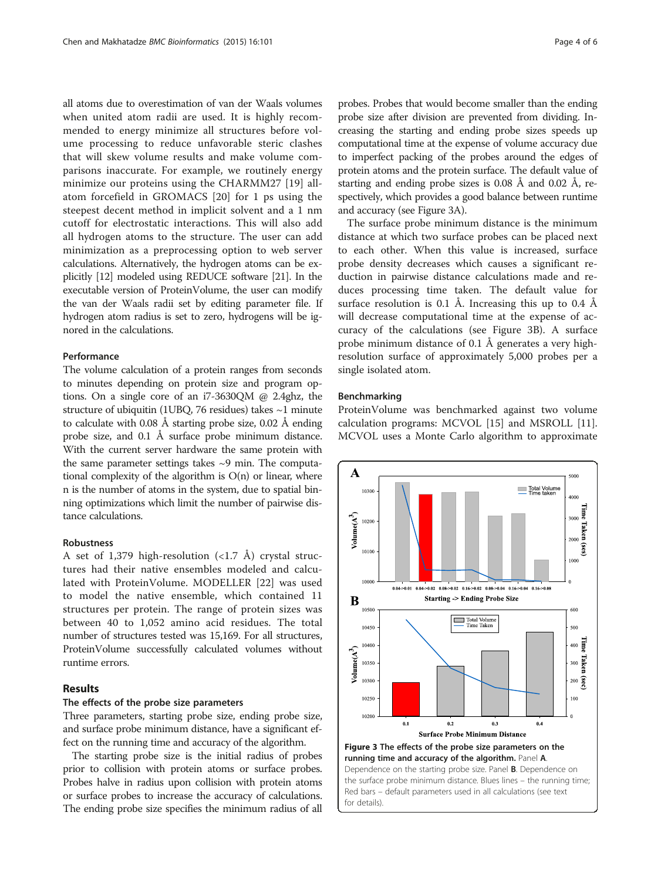<span id="page-3-0"></span>all atoms due to overestimation of van der Waals volumes when united atom radii are used. It is highly recommended to energy minimize all structures before volume processing to reduce unfavorable steric clashes that will skew volume results and make volume comparisons inaccurate. For example, we routinely energy minimize our proteins using the CHARMM27 [\[19](#page-5-0)] allatom forcefield in GROMACS [[20\]](#page-5-0) for 1 ps using the steepest decent method in implicit solvent and a 1 nm cutoff for electrostatic interactions. This will also add all hydrogen atoms to the structure. The user can add minimization as a preprocessing option to web server calculations. Alternatively, the hydrogen atoms can be explicitly [\[12](#page-5-0)] modeled using REDUCE software [\[21](#page-5-0)]. In the executable version of ProteinVolume, the user can modify the van der Waals radii set by editing parameter file. If hydrogen atom radius is set to zero, hydrogens will be ignored in the calculations.

#### **Performance**

The volume calculation of a protein ranges from seconds to minutes depending on protein size and program options. On a single core of an i7-3630QM @ 2.4ghz, the structure of ubiquitin (1UBQ, 76 residues) takes  $\sim$ 1 minute to calculate with 0.08 Å starting probe size, 0.02 Å ending probe size, and 0.1 Å surface probe minimum distance. With the current server hardware the same protein with the same parameter settings takes  $\sim$ 9 min. The computational complexity of the algorithm is  $O(n)$  or linear, where n is the number of atoms in the system, due to spatial binning optimizations which limit the number of pairwise distance calculations.

#### Robustness

A set of 1,379 high-resolution (<1.7 Å) crystal structures had their native ensembles modeled and calculated with ProteinVolume. MODELLER [\[22](#page-5-0)] was used to model the native ensemble, which contained 11 structures per protein. The range of protein sizes was between 40 to 1,052 amino acid residues. The total number of structures tested was 15,169. For all structures, ProteinVolume successfully calculated volumes without runtime errors.

### Results

#### The effects of the probe size parameters

Three parameters, starting probe size, ending probe size, and surface probe minimum distance, have a significant effect on the running time and accuracy of the algorithm.

The starting probe size is the initial radius of probes prior to collision with protein atoms or surface probes. Probes halve in radius upon collision with protein atoms or surface probes to increase the accuracy of calculations. The ending probe size specifies the minimum radius of all

probes. Probes that would become smaller than the ending probe size after division are prevented from dividing. Increasing the starting and ending probe sizes speeds up computational time at the expense of volume accuracy due to imperfect packing of the probes around the edges of protein atoms and the protein surface. The default value of starting and ending probe sizes is 0.08 Å and 0.02 Å, respectively, which provides a good balance between runtime and accuracy (see Figure 3A).

The surface probe minimum distance is the minimum distance at which two surface probes can be placed next to each other. When this value is increased, surface probe density decreases which causes a significant reduction in pairwise distance calculations made and reduces processing time taken. The default value for surface resolution is 0.1 Å. Increasing this up to 0.4 Å will decrease computational time at the expense of accuracy of the calculations (see Figure 3B). A surface probe minimum distance of 0.1 Å generates a very highresolution surface of approximately 5,000 probes per a single isolated atom.

#### Benchmarking

ProteinVolume was benchmarked against two volume calculation programs: MCVOL [\[15](#page-5-0)] and MSROLL [\[11](#page-5-0)]. MCVOL uses a Monte Carlo algorithm to approximate

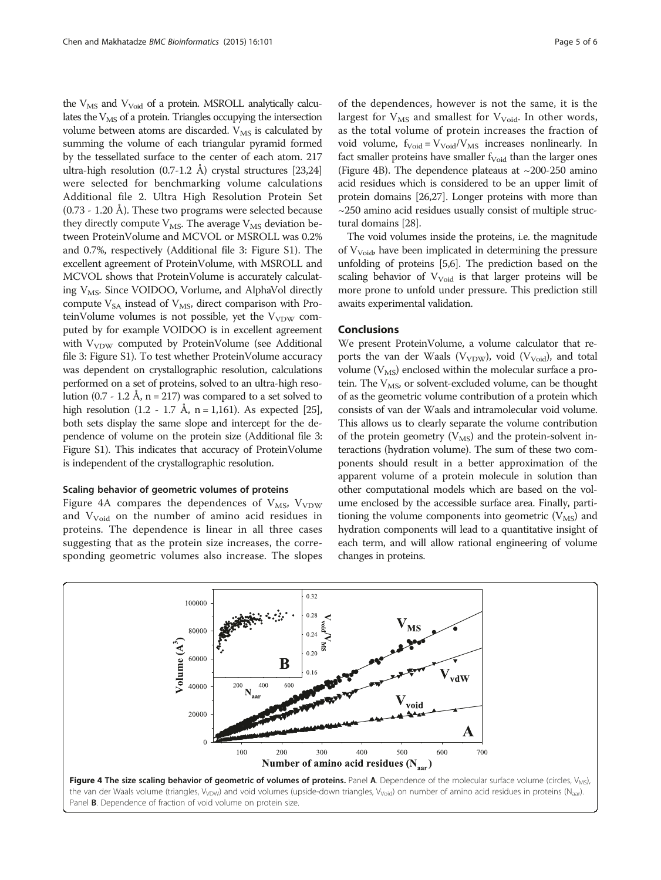the  $V_{MS}$  and  $V_{Void}$  of a protein. MSROLL analytically calculates the  $V_{\rm MS}$  of a protein. Triangles occupying the intersection volume between atoms are discarded.  $V_{MS}$  is calculated by summing the volume of each triangular pyramid formed by the tessellated surface to the center of each atom. 217 ultra-high resolution (0.7-1.2 Å) crystal structures [\[23,24](#page-5-0)] were selected for benchmarking volume calculations Additional file [2.](#page-5-0) Ultra High Resolution Protein Set  $(0.73 - 1.20 \text{ Å})$ . These two programs were selected because they directly compute  $V_{MS}$ . The average  $V_{MS}$  deviation between ProteinVolume and MCVOL or MSROLL was 0.2% and 0.7%, respectively (Additional file [3](#page-5-0): Figure S1). The excellent agreement of ProteinVolume, with MSROLL and MCVOL shows that ProteinVolume is accurately calculating  $V_{MS}$ . Since VOIDOO, Vorlume, and AlphaVol directly compute  $V_{SA}$  instead of  $V_{MS}$ , direct comparison with ProteinVolume volumes is not possible, yet the  $V_{VDW}$  computed by for example VOIDOO is in excellent agreement with  $V_{VDW}$  computed by ProteinVolume (see Additional file [3:](#page-5-0) Figure S1). To test whether ProteinVolume accuracy was dependent on crystallographic resolution, calculations performed on a set of proteins, solved to an ultra-high resolution (0.7 - 1.2 Å,  $n = 217$ ) was compared to a set solved to high resolution (1.2 - 1.7 Å,  $n = 1,161$ ). As expected [\[25](#page-5-0)], both sets display the same slope and intercept for the dependence of volume on the protein size (Additional file [3](#page-5-0): Figure S1). This indicates that accuracy of ProteinVolume is independent of the crystallographic resolution.

#### Scaling behavior of geometric volumes of proteins

Figure 4A compares the dependences of  $V_{MS}$ ,  $V_{VDW}$ and  $V_{\text{void}}$  on the number of amino acid residues in proteins. The dependence is linear in all three cases suggesting that as the protein size increases, the corresponding geometric volumes also increase. The slopes of the dependences, however is not the same, it is the largest for  $V_{MS}$  and smallest for  $V_{Void}$ . In other words, as the total volume of protein increases the fraction of void volume,  $f_{\text{void}} = V_{\text{void}} / V_{\text{MS}}$  increases nonlinearly. In fact smaller proteins have smaller  $f_{\text{void}}$  than the larger ones (Figure 4B). The dependence plateaus at  $\sim$ 200-250 amino acid residues which is considered to be an upper limit of protein domains [\[26,27](#page-5-0)]. Longer proteins with more than  $\sim$ 250 amino acid residues usually consist of multiple structural domains [\[28\]](#page-5-0).

The void volumes inside the proteins, i.e. the magnitude of  $V_{\text{void}}$ , have been implicated in determining the pressure unfolding of proteins [[5](#page-5-0),[6](#page-5-0)]. The prediction based on the scaling behavior of  $V_{\text{void}}$  is that larger proteins will be more prone to unfold under pressure. This prediction still awaits experimental validation.

#### **Conclusions**

We present ProteinVolume, a volume calculator that reports the van der Waals ( $V_{VDW}$ ), void ( $V_{Void}$ ), and total volume  $(V_{MS})$  enclosed within the molecular surface a protein. The  $V_{MS}$ , or solvent-excluded volume, can be thought of as the geometric volume contribution of a protein which consists of van der Waals and intramolecular void volume. This allows us to clearly separate the volume contribution of the protein geometry  $(V_{MS})$  and the protein-solvent interactions (hydration volume). The sum of these two components should result in a better approximation of the apparent volume of a protein molecule in solution than other computational models which are based on the volume enclosed by the accessible surface area. Finally, partitioning the volume components into geometric  $(V_{MS})$  and hydration components will lead to a quantitative insight of each term, and will allow rational engineering of volume changes in proteins.